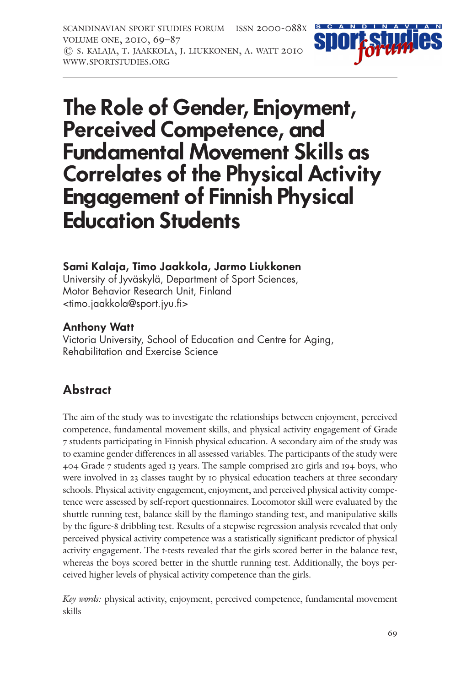scandinavian sport studies forum issn 2000-088x volume one, 2010, 69–87 © s. kalaja, t. jaakkola, j. liukkonen, a. watt 2010 www.sportstudies.org



# **The Role of Gender, Enjoyment, Perceived Competence, and Fundamental Movement Skills as Correlates of the Physical Activity Engagement of Finnish Physical Education Students**

#### **Sami Kalaja, Timo Jaakkola, Jarmo Liukkonen**

University of Jyväskylä, Department of Sport Sciences, Motor Behavior Research Unit, Finland <timo.jaakkola@sport.jyu.fi>

#### **Anthony Watt**

Victoria University, School of Education and Centre for Aging, Rehabilitation and Exercise Science

### **Abstract**

The aim of the study was to investigate the relationships between enjoyment, perceived competence, fundamental movement skills, and physical activity engagement of Grade 7 students participating in Finnish physical education. A secondary aim of the study was to examine gender differences in all assessed variables. The participants of the study were 404 Grade 7 students aged 13 years. The sample comprised 210 girls and 194 boys, who were involved in 23 classes taught by 10 physical education teachers at three secondary schools. Physical activity engagement, enjoyment, and perceived physical activity competence were assessed by self-report questionnaires. Locomotor skill were evaluated by the shuttle running test, balance skill by the flamingo standing test, and manipulative skills by the figure-8 dribbling test. Results of a stepwise regression analysis revealed that only perceived physical activity competence was a statistically significant predictor of physical activity engagement. The t-tests revealed that the girls scored better in the balance test, whereas the boys scored better in the shuttle running test. Additionally, the boys perceived higher levels of physical activity competence than the girls.

Key words: physical activity, enjoyment, perceived competence, fundamental movement skills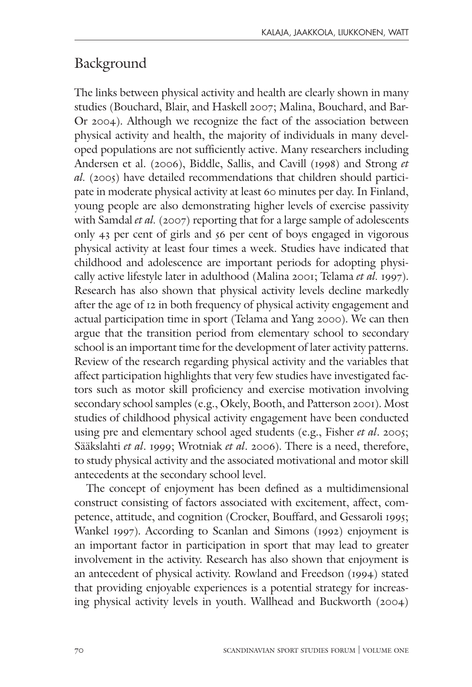# Background

The links between physical activity and health are clearly shown in many studies (Bouchard, Blair, and Haskell 2007; Malina, Bouchard, and Bar-Or 2004). Although we recognize the fact of the association between physical activity and health, the majority of individuals in many developed populations are not sufficiently active. Many researchers including Andersen et al. (2006), Biddle, Sallis, and Cavill (1998) and Strong et al. (2005) have detailed recommendations that children should participate in moderate physical activity at least 60 minutes per day. In Finland, young people are also demonstrating higher levels of exercise passivity with Samdal et al. (2007) reporting that for a large sample of adolescents only 43 per cent of girls and 56 per cent of boys engaged in vigorous physical activity at least four times a week. Studies have indicated that childhood and adolescence are important periods for adopting physically active lifestyle later in adulthood (Malina 2001; Telama et al. 1997). Research has also shown that physical activity levels decline markedly after the age of 12 in both frequency of physical activity engagement and actual participation time in sport (Telama and Yang 2000). We can then argue that the transition period from elementary school to secondary school is an important time for the development of later activity patterns. Review of the research regarding physical activity and the variables that affect participation highlights that very few studies have investigated factors such as motor skill proficiency and exercise motivation involving secondary school samples (e.g., Okely, Booth, and Patterson 2001). Most studies of childhood physical activity engagement have been conducted using pre and elementary school aged students (e.g., Fisher et al. 2005; Sääkslahti et al. 1999; Wrotniak et al. 2006). There is a need, therefore, to study physical activity and the associated motivational and motor skill antecedents at the secondary school level.

The concept of enjoyment has been defined as a multidimensional construct consisting of factors associated with excitement, affect, competence, attitude, and cognition (Crocker, Bouffard, and Gessaroli 1995; Wankel 1997). According to Scanlan and Simons (1992) enjoyment is an important factor in participation in sport that may lead to greater involvement in the activity. Research has also shown that enjoyment is an antecedent of physical activity. Rowland and Freedson (1994) stated that providing enjoyable experiences is a potential strategy for increasing physical activity levels in youth. Wallhead and Buckworth (2004)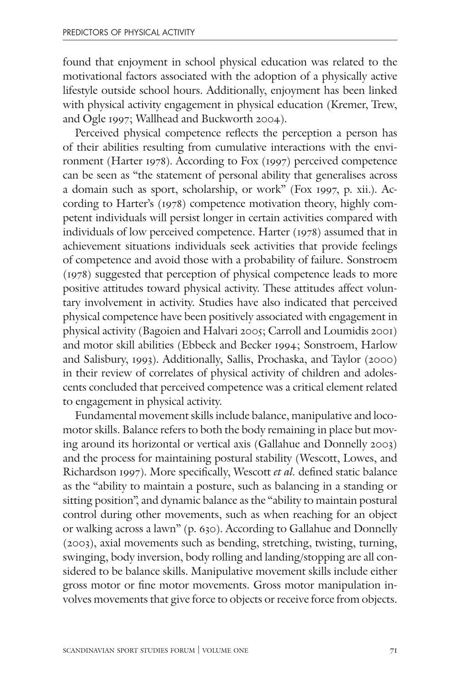found that enjoyment in school physical education was related to the motivational factors associated with the adoption of a physically active lifestyle outside school hours. Additionally, enjoyment has been linked with physical activity engagement in physical education (Kremer, Trew, and Ogle 1997; Wallhead and Buckworth 2004).

Perceived physical competence reflects the perception a person has of their abilities resulting from cumulative interactions with the environment (Harter 1978). According to Fox (1997) perceived competence can be seen as "the statement of personal ability that generalises across a domain such as sport, scholarship, or work" (Fox 1997, p. xii.). According to Harter's (1978) competence motivation theory, highly competent individuals will persist longer in certain activities compared with individuals of low perceived competence. Harter (1978) assumed that in achievement situations individuals seek activities that provide feelings of competence and avoid those with a probability of failure. Sonstroem (1978) suggested that perception of physical competence leads to more positive attitudes toward physical activity. These attitudes affect voluntary involvement in activity. Studies have also indicated that perceived physical competence have been positively associated with engagement in physical activity (Bagoien and Halvari 2005; Carroll and Loumidis 2001) and motor skill abilities (Ebbeck and Becker 1994; Sonstroem, Harlow and Salisbury, 1993). Additionally, Sallis, Prochaska, and Taylor (2000) in their review of correlates of physical activity of children and adolescents concluded that perceived competence was a critical element related to engagement in physical activity.

Fundamental movement skills include balance, manipulative and locomotor skills. Balance refers to both the body remaining in place but moving around its horizontal or vertical axis (Gallahue and Donnelly 2003) and the process for maintaining postural stability (Wescott, Lowes, and Richardson 1997). More specifically, Wescott et al. defined static balance as the "ability to maintain a posture, such as balancing in a standing or sitting position", and dynamic balance as the "ability to maintain postural control during other movements, such as when reaching for an object or walking across a lawn" (p. 630). According to Gallahue and Donnelly (2003), axial movements such as bending, stretching, twisting, turning, swinging, body inversion, body rolling and landing/stopping are all considered to be balance skills. Manipulative movement skills include either gross motor or fine motor movements. Gross motor manipulation involves movements that give force to objects or receive force from objects.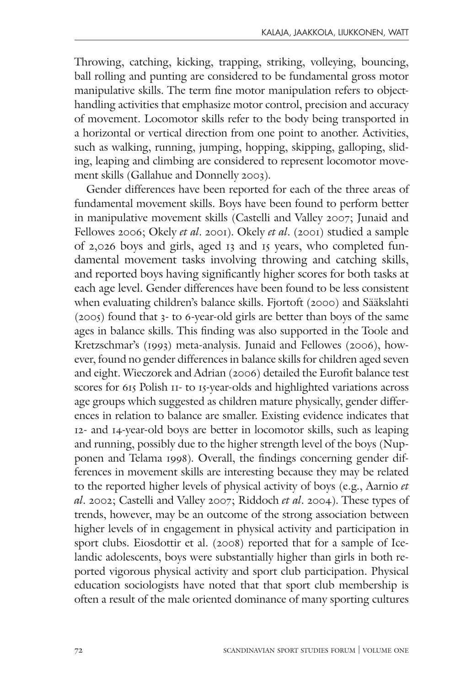Throwing, catching, kicking, trapping, striking, volleying, bouncing, ball rolling and punting are considered to be fundamental gross motor manipulative skills. The term fine motor manipulation refers to objecthandling activities that emphasize motor control, precision and accuracy of movement. Locomotor skills refer to the body being transported in a horizontal or vertical direction from one point to another. Activities, such as walking, running, jumping, hopping, skipping, galloping, sliding, leaping and climbing are considered to represent locomotor movement skills (Gallahue and Donnelly 2003).

Gender differences have been reported for each of the three areas of fundamental movement skills. Boys have been found to perform better in manipulative movement skills (Castelli and Valley 2007; Junaid and Fellowes 2006; Okely et al. 2001). Okely et al. (2001) studied a sample of 2,026 boys and girls, aged 13 and 15 years, who completed fundamental movement tasks involving throwing and catching skills, and reported boys having significantly higher scores for both tasks at each age level. Gender differences have been found to be less consistent when evaluating children's balance skills. Fjortoft (2000) and Sääkslahti (2005) found that 3- to 6-year-old girls are better than boys of the same ages in balance skills. This finding was also supported in the Toole and Kretzschmar's (1993) meta-analysis. Junaid and Fellowes (2006), however, found no gender differences in balance skills for children aged seven and eight. Wieczorek and Adrian (2006) detailed the Eurofit balance test scores for 615 Polish 11- to 15-year-olds and highlighted variations across age groups which suggested as children mature physically, gender differences in relation to balance are smaller. Existing evidence indicates that 12- and 14-year-old boys are better in locomotor skills, such as leaping and running, possibly due to the higher strength level of the boys (Nupponen and Telama 1998). Overall, the findings concerning gender differences in movement skills are interesting because they may be related to the reported higher levels of physical activity of boys (e.g., Aarnio et al. 2002; Castelli and Valley 2007; Riddoch et al. 2004). These types of trends, however, may be an outcome of the strong association between higher levels of in engagement in physical activity and participation in sport clubs. Eiosdottir et al. (2008) reported that for a sample of Icelandic adolescents, boys were substantially higher than girls in both reported vigorous physical activity and sport club participation. Physical education sociologists have noted that that sport club membership is often a result of the male oriented dominance of many sporting cultures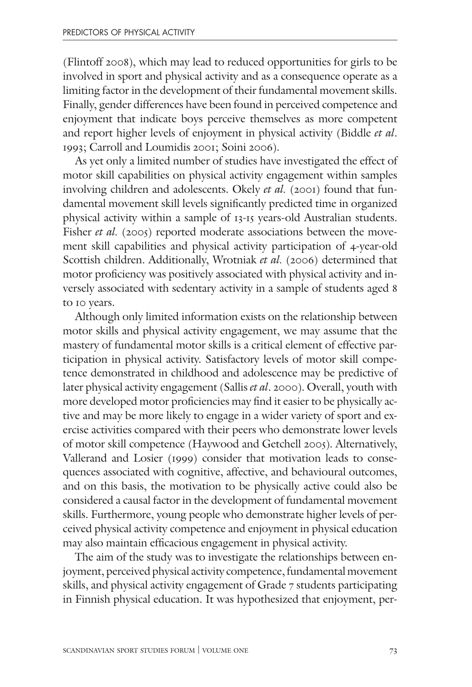(Flintoff 2008), which may lead to reduced opportunities for girls to be involved in sport and physical activity and as a consequence operate as a limiting factor in the development of their fundamental movement skills. Finally, gender differences have been found in perceived competence and enjoyment that indicate boys perceive themselves as more competent and report higher levels of enjoyment in physical activity (Biddle et al. 1993; Carroll and Loumidis 2001; Soini 2006).

As yet only a limited number of studies have investigated the effect of motor skill capabilities on physical activity engagement within samples involving children and adolescents. Okely et al. (2001) found that fundamental movement skill levels significantly predicted time in organized physical activity within a sample of 13-15 years-old Australian students. Fisher et al. (2005) reported moderate associations between the movement skill capabilities and physical activity participation of 4-year-old Scottish children. Additionally, Wrotniak et al. (2006) determined that motor proficiency was positively associated with physical activity and inversely associated with sedentary activity in a sample of students aged 8 to 10 years.

Although only limited information exists on the relationship between motor skills and physical activity engagement, we may assume that the mastery of fundamental motor skills is a critical element of effective participation in physical activity. Satisfactory levels of motor skill competence demonstrated in childhood and adolescence may be predictive of later physical activity engagement (Sallis et al. 2000). Overall, youth with more developed motor proficiencies may find it easier to be physically active and may be more likely to engage in a wider variety of sport and exercise activities compared with their peers who demonstrate lower levels of motor skill competence (Haywood and Getchell 2005). Alternatively, Vallerand and Losier (1999) consider that motivation leads to consequences associated with cognitive, affective, and behavioural outcomes, and on this basis, the motivation to be physically active could also be considered a causal factor in the development of fundamental movement skills. Furthermore, young people who demonstrate higher levels of perceived physical activity competence and enjoyment in physical education may also maintain efficacious engagement in physical activity.

The aim of the study was to investigate the relationships between enjoyment, perceived physical activity competence, fundamental movement skills, and physical activity engagement of Grade 7 students participating in Finnish physical education. It was hypothesized that enjoyment, per-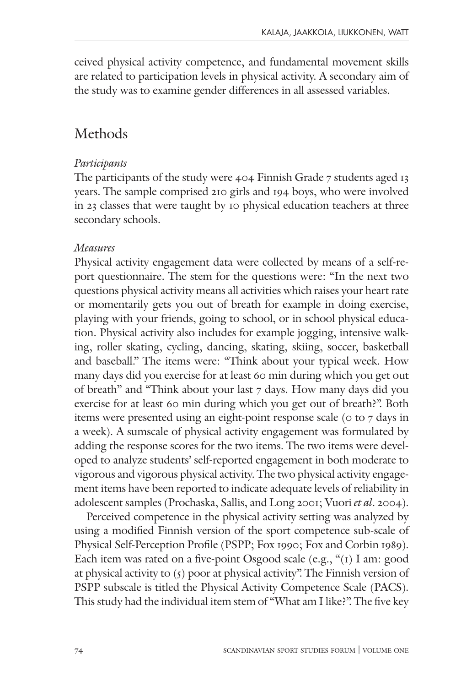ceived physical activity competence, and fundamental movement skills are related to participation levels in physical activity. A secondary aim of the study was to examine gender differences in all assessed variables.

# Methods

#### Participants

The participants of the study were 404 Finnish Grade 7 students aged 13 years. The sample comprised 210 girls and 194 boys, who were involved in 23 classes that were taught by 10 physical education teachers at three secondary schools.

## Measures

Physical activity engagement data were collected by means of a self-report questionnaire. The stem for the questions were: "In the next two questions physical activity means all activities which raises your heart rate or momentarily gets you out of breath for example in doing exercise, playing with your friends, going to school, or in school physical education. Physical activity also includes for example jogging, intensive walking, roller skating, cycling, dancing, skating, skiing, soccer, basketball and baseball." The items were: "Think about your typical week. How many days did you exercise for at least 60 min during which you get out of breath" and "Think about your last 7 days. How many days did you exercise for at least 60 min during which you get out of breath?". Both items were presented using an eight-point response scale (0 to 7 days in a week). A sumscale of physical activity engagement was formulated by adding the response scores for the two items. The two items were developed to analyze students' self-reported engagement in both moderate to vigorous and vigorous physical activity. The two physical activity engagement items have been reported to indicate adequate levels of reliability in adolescent samples (Prochaska, Sallis, and Long 2001; Vuori et al. 2004).

Perceived competence in the physical activity setting was analyzed by using a modified Finnish version of the sport competence sub-scale of Physical Self-Perception Profile (PSPP; Fox 1990; Fox and Corbin 1989). Each item was rated on a five-point Osgood scale (e.g., "(1) I am: good at physical activity to  $(5)$  poor at physical activity". The Finnish version of PSPP subscale is titled the Physical Activity Competence Scale (PACS). This study had the individual item stem of "What am I like?". The five key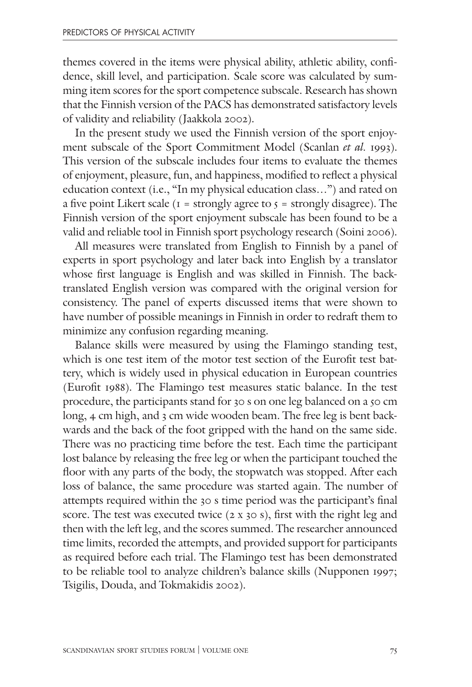themes covered in the items were physical ability, athletic ability, confidence, skill level, and participation. Scale score was calculated by summing item scores for the sport competence subscale. Research has shown that the Finnish version of the PACS has demonstrated satisfactory levels of validity and reliability (Jaakkola 2002).

In the present study we used the Finnish version of the sport enjoyment subscale of the Sport Commitment Model (Scanlan et al. 1993). This version of the subscale includes four items to evaluate the themes of enjoyment, pleasure, fun, and happiness, modified to reflect a physical education context (i.e., "In my physical education class…") and rated on a five point Likert scale ( $I =$  strongly agree to  $\zeta =$  strongly disagree). The Finnish version of the sport enjoyment subscale has been found to be a valid and reliable tool in Finnish sport psychology research (Soini 2006).

All measures were translated from English to Finnish by a panel of experts in sport psychology and later back into English by a translator whose first language is English and was skilled in Finnish. The backtranslated English version was compared with the original version for consistency. The panel of experts discussed items that were shown to have number of possible meanings in Finnish in order to redraft them to minimize any confusion regarding meaning.

Balance skills were measured by using the Flamingo standing test, which is one test item of the motor test section of the Eurofit test battery, which is widely used in physical education in European countries (Eurofit 1988). The Flamingo test measures static balance. In the test procedure, the participants stand for 30 s on one leg balanced on a 50 cm long, 4 cm high, and 3 cm wide wooden beam. The free leg is bent backwards and the back of the foot gripped with the hand on the same side. There was no practicing time before the test. Each time the participant lost balance by releasing the free leg or when the participant touched the floor with any parts of the body, the stopwatch was stopped. After each loss of balance, the same procedure was started again. The number of attempts required within the 30 s time period was the participant's final score. The test was executed twice (2 x 30 s), first with the right leg and then with the left leg, and the scores summed. The researcher announced time limits, recorded the attempts, and provided support for participants as required before each trial. The Flamingo test has been demonstrated to be reliable tool to analyze children's balance skills (Nupponen 1997; Tsigilis, Douda, and Tokmakidis 2002).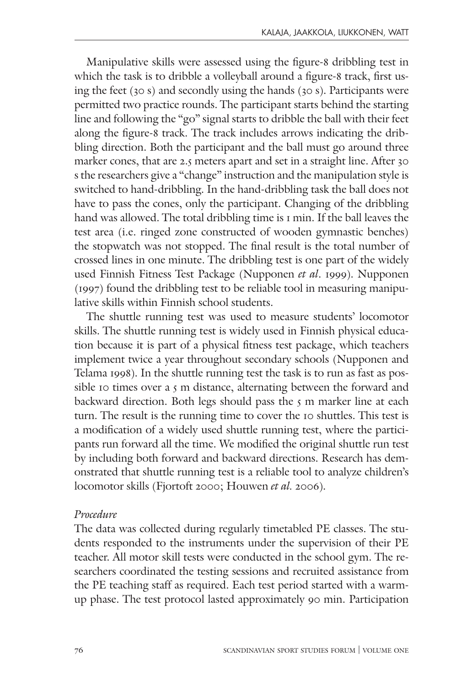Manipulative skills were assessed using the figure-8 dribbling test in which the task is to dribble a volleyball around a figure-8 track, first using the feet (30 s) and secondly using the hands (30 s). Participants were permitted two practice rounds. The participant starts behind the starting line and following the "go" signal starts to dribble the ball with their feet along the figure-8 track. The track includes arrows indicating the dribbling direction. Both the participant and the ball must go around three marker cones, that are 2.5 meters apart and set in a straight line. After 30 s the researchers give a "change" instruction and the manipulation style is switched to hand-dribbling. In the hand-dribbling task the ball does not have to pass the cones, only the participant. Changing of the dribbling hand was allowed. The total dribbling time is 1 min. If the ball leaves the test area (i.e. ringed zone constructed of wooden gymnastic benches) the stopwatch was not stopped. The final result is the total number of crossed lines in one minute. The dribbling test is one part of the widely used Finnish Fitness Test Package (Nupponen et al. 1999). Nupponen (1997) found the dribbling test to be reliable tool in measuring manipulative skills within Finnish school students.

The shuttle running test was used to measure students' locomotor skills. The shuttle running test is widely used in Finnish physical education because it is part of a physical fitness test package, which teachers implement twice a year throughout secondary schools (Nupponen and Telama 1998). In the shuttle running test the task is to run as fast as possible 10 times over a 5 m distance, alternating between the forward and backward direction. Both legs should pass the  $5$  m marker line at each turn. The result is the running time to cover the 10 shuttles. This test is a modification of a widely used shuttle running test, where the participants run forward all the time. We modified the original shuttle run test by including both forward and backward directions. Research has demonstrated that shuttle running test is a reliable tool to analyze children's locomotor skills (Fjortoft 2000; Houwen et al. 2006).

#### Procedure

The data was collected during regularly timetabled PE classes. The students responded to the instruments under the supervision of their PE teacher. All motor skill tests were conducted in the school gym. The researchers coordinated the testing sessions and recruited assistance from the PE teaching staff as required. Each test period started with a warmup phase. The test protocol lasted approximately 90 min. Participation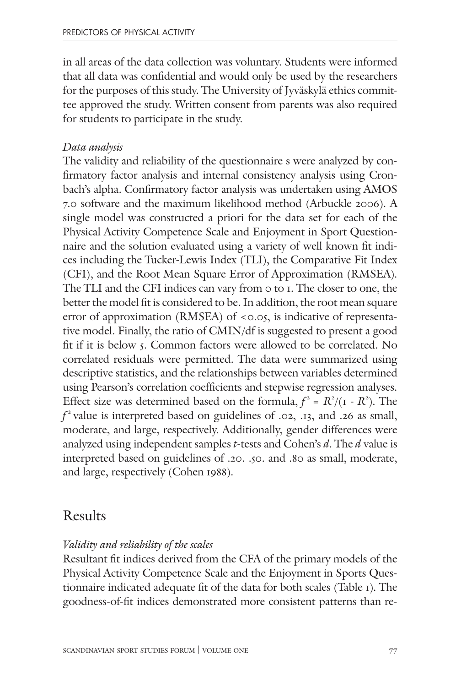in all areas of the data collection was voluntary. Students were informed that all data was confidential and would only be used by the researchers for the purposes of this study. The University of Jyväskylä ethics committee approved the study. Written consent from parents was also required for students to participate in the study.

#### Data analysis

The validity and reliability of the questionnaire s were analyzed by confirmatory factor analysis and internal consistency analysis using Cronbach's alpha. Confirmatory factor analysis was undertaken using AMOS 7.0 software and the maximum likelihood method (Arbuckle 2006). A single model was constructed a priori for the data set for each of the Physical Activity Competence Scale and Enjoyment in Sport Questionnaire and the solution evaluated using a variety of well known fit indices including the Tucker-Lewis Index (TLI), the Comparative Fit Index (CFI), and the Root Mean Square Error of Approximation (RMSEA). The TLI and the CFI indices can vary from 0 to 1. The closer to one, the better the model fit is considered to be. In addition, the root mean square error of approximation (RMSEA) of <0.05, is indicative of representative model. Finally, the ratio of CMIN/df is suggested to present a good fit if it is below 5. Common factors were allowed to be correlated. No correlated residuals were permitted. The data were summarized using descriptive statistics, and the relationships between variables determined using Pearson's correlation coefficients and stepwise regression analyses. Effect size was determined based on the formula,  $f^2 = R^2/(1 - R^2)$ . The  $f<sup>2</sup>$  value is interpreted based on guidelines of .02, .13, and .26 as small, moderate, and large, respectively. Additionally, gender differences were analyzed using independent samples t-tests and Cohen's  $d$ . The  $d$  value is interpreted based on guidelines of .20. .50. and .80 as small, moderate, and large, respectively (Cohen 1988).

# Results

#### Validity and reliability of the scales

Resultant fit indices derived from the CFA of the primary models of the Physical Activity Competence Scale and the Enjoyment in Sports Questionnaire indicated adequate fit of the data for both scales (Table 1). The goodness-of-fit indices demonstrated more consistent patterns than re-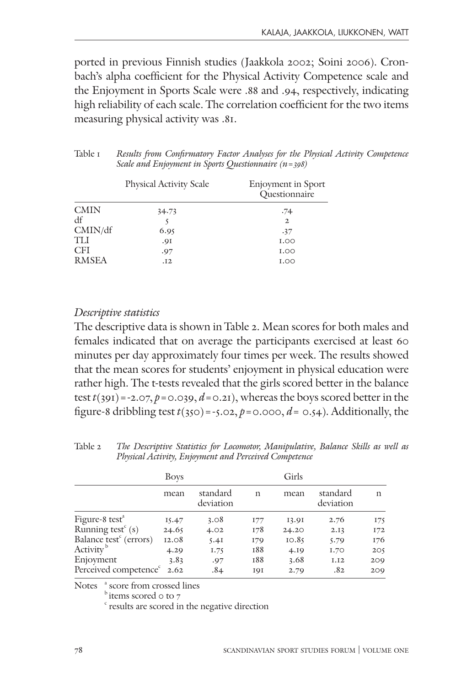ported in previous Finnish studies (Jaakkola 2002; Soini 2006). Cronbach's alpha coefficient for the Physical Activity Competence scale and the Enjoyment in Sports Scale were .88 and .94, respectively, indicating high reliability of each scale. The correlation coefficient for the two items measuring physical activity was .81.

| Table 1 | Results from Confirmatory Factor Analyses for the Physical Activity Competence |
|---------|--------------------------------------------------------------------------------|
|         | Scale and Enjoyment in Sports Questionnaire $(n=398)$                          |

|              | <b>Physical Activity Scale</b> | Enjoyment in Sport<br>Questionnaire |
|--------------|--------------------------------|-------------------------------------|
| <b>CMIN</b>  | 34.73                          | .74                                 |
| df           |                                | $\mathbf{2}$                        |
| CMIN/df      | 6.95                           | .37                                 |
| <b>TIJ</b>   | .91                            | <b>I.OO</b>                         |
| <b>CFI</b>   | .97                            | <b>I.OO</b>                         |
| <b>RMSEA</b> | .12                            | I.00                                |

#### Descriptive statistics

The descriptive data is shown in Table 2. Mean scores for both males and females indicated that on average the participants exercised at least 60 minutes per day approximately four times per week. The results showed that the mean scores for students' enjoyment in physical education were rather high. The t-tests revealed that the girls scored better in the balance test  $t(391) = -2.07$ ,  $p = 0.039$ ,  $d = 0.21$ ), whereas the boys scored better in the figure-8 dribbling test  $t(350) = -5.02$ ,  $p = 0.000$ ,  $d = 0.54$ ). Additionally, the

|                                    | <b>Boys</b> |                       |     | Girls |                       |     |
|------------------------------------|-------------|-----------------------|-----|-------|-----------------------|-----|
|                                    | mean        | standard<br>deviation | n   | mean  | standard<br>deviation | n   |
| Figure-8 test <sup>a</sup>         | 15.47       | 3.08                  | 177 | 13.91 | 2.76                  | 175 |
| Running test $\epsilon$ (s)        | 24.65       | 4.02                  | 178 | 24.20 | 2.13                  | 172 |
| Balance test <sup>c</sup> (errors) | 12.08       | 5.4I                  | 179 | 10.85 | 5.79                  | 176 |
| Activity <sup>b</sup>              | 4.29        | I.75                  | 188 | 4.19  | 1.70                  | 205 |
| Enjoyment                          | 3.83        | .97                   | 188 | 3.68  | I.I <sub>2</sub>      | 209 |
| Perceived competence <sup>c</sup>  | 2.62        | .84                   | 191 | 2.79  | .82                   | 209 |

Table 2 The Descriptive Statistics for Locomotor, Manipulative, Balance Skills as well as Physical Activity, Enjoyment and Perceived Competence

Notes <sup>a</sup> score from crossed lines

 $b$  items scored 0 to 7

<sup>c</sup> results are scored in the negative direction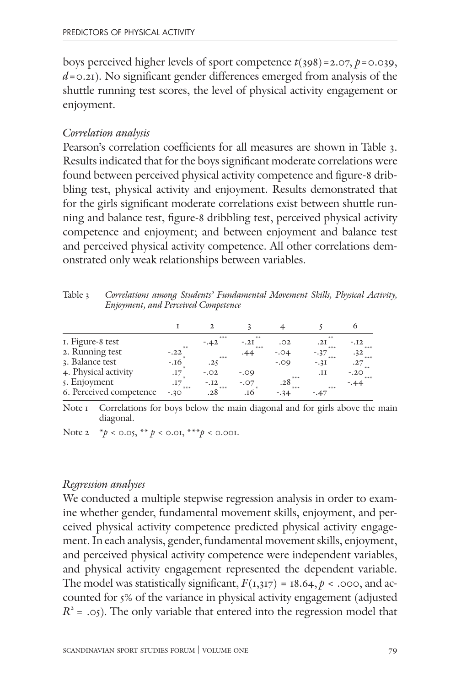boys perceived higher levels of sport competence  $t(398)=2.07, p=0.039,$  $d$ =0.21). No significant gender differences emerged from analysis of the shuttle running test scores, the level of physical activity engagement or enjoyment.

#### Correlation analysis

Pearson's correlation coefficients for all measures are shown in Table 3. Results indicated that for the boys significant moderate correlations were found between perceived physical activity competence and figure-8 dribbling test, physical activity and enjoyment. Results demonstrated that for the girls significant moderate correlations exist between shuttle running and balance test, figure-8 dribbling test, perceived physical activity competence and enjoyment; and between enjoyment and balance test and perceived physical activity competence. All other correlations demonstrated only weak relationships between variables.

Table 3 Correlations among Students' Fundamental Movement Skills, Physical Activity, Enjoyment, and Perceived Competence

| I. Figure-8 test        |                | $***$<br>$-.42$ | $***$<br>$-.2I$ | .02          | $***$<br>.2I    | $-.12$          |
|-------------------------|----------------|-----------------|-----------------|--------------|-----------------|-----------------|
| 2. Running test         | $**$<br>$-.22$ |                 | $+ + +$<br>.44  | $-.04$       | $***$<br>$-37$  | .32             |
| 3. Balance test         | $-16$          | $***$<br>.25    |                 | $-.09$       | $***$<br>$-.31$ | .27             |
| 4. Physical activity    | .17            | $-.02$          | $-.09$          | $***$        | .н              | $-.20$<br>$***$ |
| 5. Enjoyment            | .17<br>$***$   | $-.12$          | $-.07$          | .28<br>$***$ | $***$           |                 |
| 6. Perceived competence | $-.30$         | .28             | .16             | $-34$        | -.47            |                 |

Note I Correlations for boys below the main diagonal and for girls above the main diagonal.

Note 2  $* p < 0.05$ ,  $** p < 0.01$ ,  $** p < 0.001$ .

#### Regression analyses

We conducted a multiple stepwise regression analysis in order to examine whether gender, fundamental movement skills, enjoyment, and perceived physical activity competence predicted physical activity engagement. In each analysis, gender, fundamental movement skills, enjoyment, and perceived physical activity competence were independent variables, and physical activity engagement represented the dependent variable. The model was statistically significant,  $F(1,317) = 18.64$ ,  $p < .000$ , and accounted for 5% of the variance in physical activity engagement (adjusted  $R^2$  = .05). The only variable that entered into the regression model that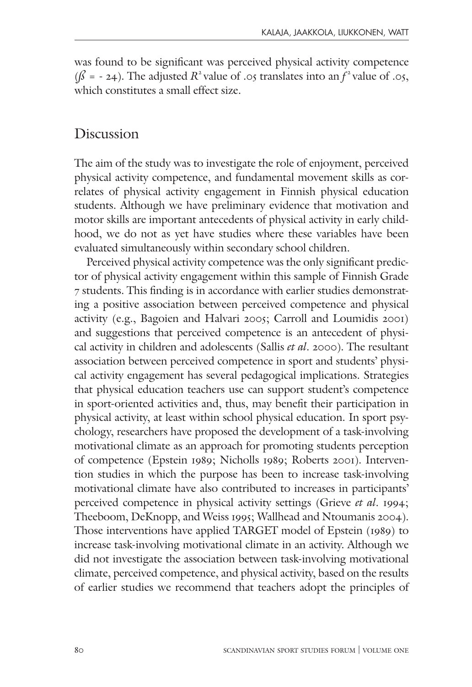was found to be significant was perceived physical activity competence  $(\beta = -24)$ . The adjusted  $\mathbb{R}^2$  value of .05 translates into an  $f^2$  value of .05, which constitutes a small effect size.

## Discussion

The aim of the study was to investigate the role of enjoyment, perceived physical activity competence, and fundamental movement skills as correlates of physical activity engagement in Finnish physical education students. Although we have preliminary evidence that motivation and motor skills are important antecedents of physical activity in early childhood, we do not as yet have studies where these variables have been evaluated simultaneously within secondary school children.

Perceived physical activity competence was the only significant predictor of physical activity engagement within this sample of Finnish Grade 7 students. This finding is in accordance with earlier studies demonstrating a positive association between perceived competence and physical activity (e.g., Bagoien and Halvari 2005; Carroll and Loumidis 2001) and suggestions that perceived competence is an antecedent of physical activity in children and adolescents (Sallis et al. 2000). The resultant association between perceived competence in sport and students' physical activity engagement has several pedagogical implications. Strategies that physical education teachers use can support student's competence in sport-oriented activities and, thus, may benefit their participation in physical activity, at least within school physical education. In sport psychology, researchers have proposed the development of a task-involving motivational climate as an approach for promoting students perception of competence (Epstein 1989; Nicholls 1989; Roberts 2001). Intervention studies in which the purpose has been to increase task-involving motivational climate have also contributed to increases in participants' perceived competence in physical activity settings (Grieve et al. 1994; Theeboom, DeKnopp, and Weiss 1995; Wallhead and Ntoumanis 2004). Those interventions have applied TARGET model of Epstein (1989) to increase task-involving motivational climate in an activity. Although we did not investigate the association between task-involving motivational climate, perceived competence, and physical activity, based on the results of earlier studies we recommend that teachers adopt the principles of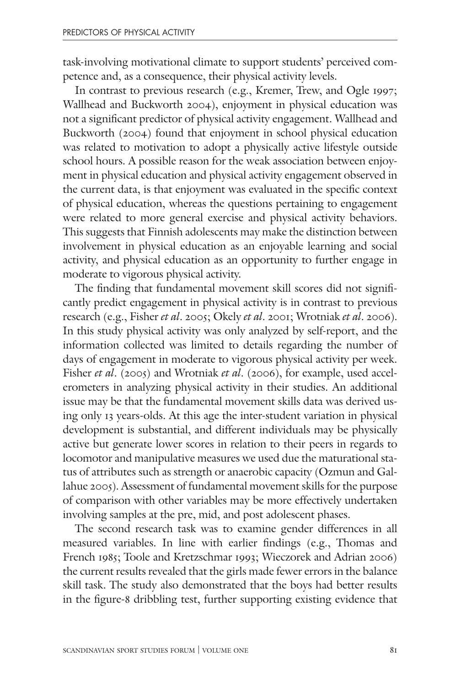task-involving motivational climate to support students' perceived competence and, as a consequence, their physical activity levels.

In contrast to previous research (e.g., Kremer, Trew, and Ogle 1997; Wallhead and Buckworth 2004), enjoyment in physical education was not a significant predictor of physical activity engagement. Wallhead and Buckworth (2004) found that enjoyment in school physical education was related to motivation to adopt a physically active lifestyle outside school hours. A possible reason for the weak association between enjoyment in physical education and physical activity engagement observed in the current data, is that enjoyment was evaluated in the specific context of physical education, whereas the questions pertaining to engagement were related to more general exercise and physical activity behaviors. This suggests that Finnish adolescents may make the distinction between involvement in physical education as an enjoyable learning and social activity, and physical education as an opportunity to further engage in moderate to vigorous physical activity.

The finding that fundamental movement skill scores did not significantly predict engagement in physical activity is in contrast to previous research (e.g., Fisher et al. 2005; Okely et al. 2001; Wrotniak et al. 2006). In this study physical activity was only analyzed by self-report, and the information collected was limited to details regarding the number of days of engagement in moderate to vigorous physical activity per week. Fisher et al. (2005) and Wrotniak et al. (2006), for example, used accelerometers in analyzing physical activity in their studies. An additional issue may be that the fundamental movement skills data was derived using only 13 years-olds. At this age the inter-student variation in physical development is substantial, and different individuals may be physically active but generate lower scores in relation to their peers in regards to locomotor and manipulative measures we used due the maturational status of attributes such as strength or anaerobic capacity (Ozmun and Gallahue 2005). Assessment of fundamental movement skills for the purpose of comparison with other variables may be more effectively undertaken involving samples at the pre, mid, and post adolescent phases.

The second research task was to examine gender differences in all measured variables. In line with earlier findings (e.g., Thomas and French 1985; Toole and Kretzschmar 1993; Wieczorek and Adrian 2006) the current results revealed that the girls made fewer errors in the balance skill task. The study also demonstrated that the boys had better results in the figure-8 dribbling test, further supporting existing evidence that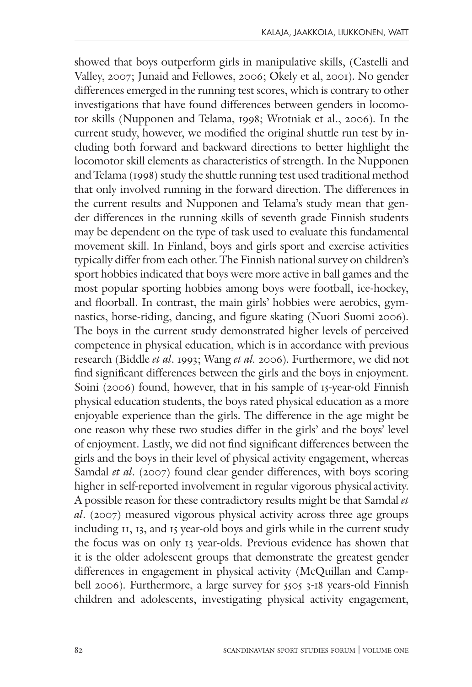showed that boys outperform girls in manipulative skills, (Castelli and Valley, 2007; Junaid and Fellowes, 2006; Okely et al, 2001). No gender differences emerged in the running test scores, which is contrary to other investigations that have found differences between genders in locomotor skills (Nupponen and Telama, 1998; Wrotniak et al., 2006). In the current study, however, we modified the original shuttle run test by including both forward and backward directions to better highlight the locomotor skill elements as characteristics of strength. In the Nupponen and Telama (1998) study the shuttle running test used traditional method that only involved running in the forward direction. The differences in the current results and Nupponen and Telama's study mean that gender differences in the running skills of seventh grade Finnish students may be dependent on the type of task used to evaluate this fundamental movement skill. In Finland, boys and girls sport and exercise activities typically differ from each other. The Finnish national survey on children's sport hobbies indicated that boys were more active in ball games and the most popular sporting hobbies among boys were football, ice-hockey, and floorball. In contrast, the main girls' hobbies were aerobics, gymnastics, horse-riding, dancing, and figure skating (Nuori Suomi 2006). The boys in the current study demonstrated higher levels of perceived competence in physical education, which is in accordance with previous research (Biddle et al. 1993; Wang et al. 2006). Furthermore, we did not find significant differences between the girls and the boys in enjoyment. Soini (2006) found, however, that in his sample of 15-year-old Finnish physical education students, the boys rated physical education as a more enjoyable experience than the girls. The difference in the age might be one reason why these two studies differ in the girls' and the boys' level of enjoyment. Lastly, we did not find significant differences between the girls and the boys in their level of physical activity engagement, whereas Samdal et al. (2007) found clear gender differences, with boys scoring higher in self-reported involvement in regular vigorous physical activity. A possible reason for these contradictory results might be that Samdal et  $al.$  (2007) measured vigorous physical activity across three age groups including 11, 13, and 15 year-old boys and girls while in the current study the focus was on only 13 year-olds. Previous evidence has shown that it is the older adolescent groups that demonstrate the greatest gender differences in engagement in physical activity (McQuillan and Campbell 2006). Furthermore, a large survey for 5505 3-18 years-old Finnish children and adolescents, investigating physical activity engagement,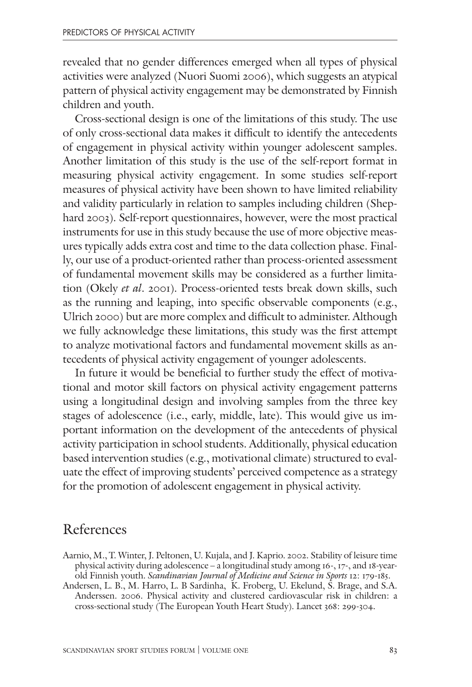revealed that no gender differences emerged when all types of physical activities were analyzed (Nuori Suomi 2006), which suggests an atypical pattern of physical activity engagement may be demonstrated by Finnish children and youth.

Cross-sectional design is one of the limitations of this study. The use of only cross-sectional data makes it difficult to identify the antecedents of engagement in physical activity within younger adolescent samples. Another limitation of this study is the use of the self-report format in measuring physical activity engagement. In some studies self-report measures of physical activity have been shown to have limited reliability and validity particularly in relation to samples including children (Shephard 2003). Self-report questionnaires, however, were the most practical instruments for use in this study because the use of more objective measures typically adds extra cost and time to the data collection phase. Finally, our use of a product-oriented rather than process-oriented assessment of fundamental movement skills may be considered as a further limitation (Okely et al. 2001). Process-oriented tests break down skills, such as the running and leaping, into specific observable components (e.g., Ulrich 2000) but are more complex and difficult to administer. Although we fully acknowledge these limitations, this study was the first attempt to analyze motivational factors and fundamental movement skills as antecedents of physical activity engagement of younger adolescents.

In future it would be beneficial to further study the effect of motivational and motor skill factors on physical activity engagement patterns using a longitudinal design and involving samples from the three key stages of adolescence (i.e., early, middle, late). This would give us important information on the development of the antecedents of physical activity participation in school students. Additionally, physical education based intervention studies (e.g., motivational climate) structured to evaluate the effect of improving students' perceived competence as a strategy for the promotion of adolescent engagement in physical activity.

## References

- Aarnio, M., T. Winter, J. Peltonen, U. Kujala, and J. Kaprio. 2002. Stability of leisure time physical activity during adolescence – a longitudinal study among 16-, 17-, and 18-yearold Finnish youth. Scandinavian Journal of Medicine and Science in Sports 12: 179-185.
- Andersen, L. B., M. Harro, L. B Sardinha, K. Froberg, U. Ekelund, S. Brage, and S.A. Anderssen. 2006. Physical activity and clustered cardiovascular risk in children: a cross-sectional study (The European Youth Heart Study). Lancet 368: 299-304.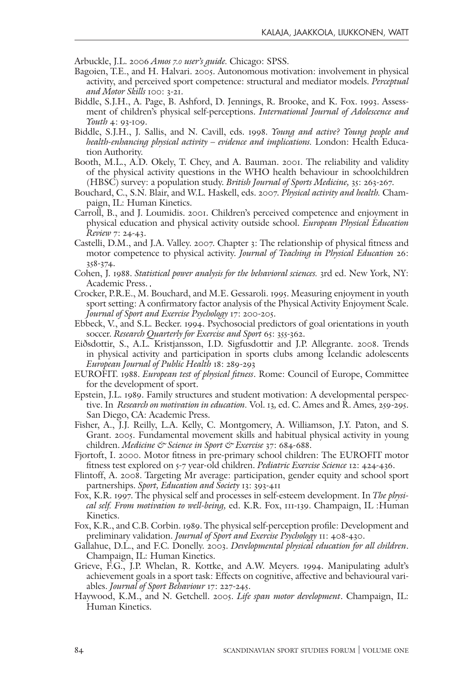Arbuckle, J.L. 2006 Amos 7.0 user's quide. Chicago: SPSS.

- Bagoien, T.E., and H. Halvari. 2005. Autonomous motivation: involvement in physical activity, and perceived sport competence: structural and mediator models. Perceptual and Motor Skills 100: 3-21.
- Biddle, S.J.H., A. Page, B. Ashford, D. Jennings, R. Brooke, and K. Fox. 1993. Assessment of children's physical self-perceptions. International Journal of Adolescence and Youth 4: 93-109.
- Biddle, S.J.H., J. Sallis, and N. Cavill, eds. 1998. Young and active? Young people and health-enhancing physical activity – evidence and implications. London: Health Education Authority.
- Booth, M.L., A.D. Okely, T. Chey, and A. Bauman. 2001. The reliability and validity of the physical activity questions in the WHO health behaviour in schoolchildren (HBSC) survey: a population study. British Journal of Sports Medicine, 35: 263-267.
- Bouchard, C., S.N. Blair, and W.L. Haskell, eds. 2007. Physical activity and health. Champaign, IL: Human Kinetics.
- Carroll, B., and J. Loumidis. 2001. Children's perceived competence and enjoyment in physical education and physical activity outside school. European Physical Education Review 7: 24-43.
- Castelli, D.M., and J.A. Valley. 2007. Chapter 3: The relationship of physical fitness and motor competence to physical activity. Journal of Teaching in Physical Education 26: 358-374.
- Cohen, J. 1988. Statistical power analysis for the behavioral sciences. 3rd ed. New York, NY: Academic Press.
- Crocker, P.R.E., M. Bouchard, and M.E. Gessaroli. 1995. Measuring enjoyment in youth sport setting: A confirmatory factor analysis of the Physical Activity Enjoyment Scale. Journal of Sport and Exercise Psychology 17: 200-205.
- Ebbeck, V., and S.L. Becker. 1994. Psychosocial predictors of goal orientations in youth soccer. Research Quarterly for Exercise and Sport 65: 355-362.
- Eiðsdottir, S., A.L. Kristjansson, I.D. Sigfusdottir and J.P. Allegrante. 2008. Trends in physical activity and participation in sports clubs among Icelandic adolescents European Journal of Public Health 18: 289-293
- EUROFIT. 1988. European test of physical fitness. Rome: Council of Europe, Committee for the development of sport.
- Epstein, J.L. 1989. Family structures and student motivation: A developmental perspective. In Research on motivation in education. Vol. 13, ed. C. Ames and R. Ames, 259-295. San Diego, CA: Academic Press.
- Fisher, A., J.J. Reilly, L.A. Kelly, C. Montgomery, A. Williamson, J.Y. Paton, and S. Grant. 2005. Fundamental movement skills and habitual physical activity in young children. Medicine & Science in Sport & Exercise 37: 684-688.
- Fjortoft, I. 2000. Motor fitness in pre-primary school children: The EUROFIT motor fitness test explored on 5-7 year-old children. Pediatric Exercise Science 12: 424-436.
- Flintoff, A. 2008. Targeting Mr average: participation, gender equity and school sport partnerships. Sport, Education and Society 13: 393-411
- Fox, K.R. 1997. The physical self and processes in self-esteem development. In The physical self. From motivation to well-being, ed. K.R. Fox, 111-139. Champaign, IL :Human Kinetics.
- Fox, K.R., and C.B. Corbin. 1989. The physical self-perception profile: Development and preliminary validation. Journal of Sport and Exercise Psychology 11: 408-430.
- Gallahue, D.L., and F.C. Donelly. 2003. Developmental physical education for all children. Champaign, IL: Human Kinetics.
- Grieve, F.G., J.P. Whelan, R. Kottke, and A.W. Meyers. 1994. Manipulating adult's achievement goals in a sport task: Effects on cognitive, affective and behavioural variables. Journal of Sport Behaviour 17: 227-245.
- Haywood, K.M., and N. Getchell. 2005. Life span motor development. Champaign, IL: Human Kinetics.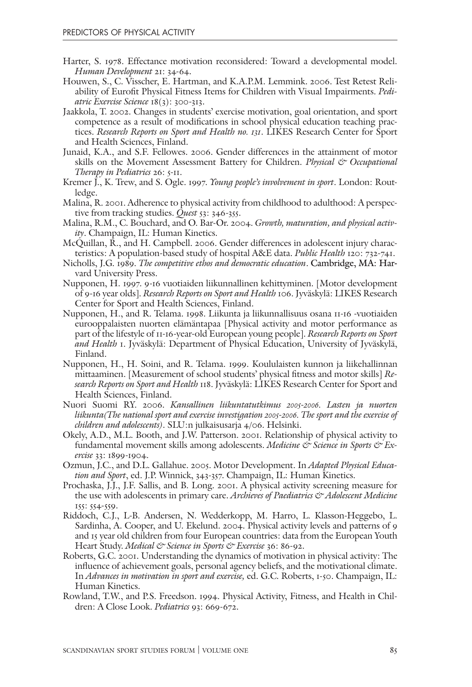- Harter, S. 1978. Effectance motivation reconsidered: Toward a developmental model. Human Development 21: 34-64.
- Houwen, S., C. Visscher, E. Hartman, and K.A.P.M. Lemmink. 2006. Test Retest Reliability of Eurofit Physical Fitness Items for Children with Visual Impairments. Pediatric Exercise Science 18(3): 300-313.
- Jaakkola, T. 2002. Changes in students' exercise motivation, goal orientation, and sport competence as a result of modifications in school physical education teaching practices. Research Reports on Sport and Health no. 131. LIKES Research Center for Sport and Health Sciences, Finland.
- Junaid, K.A., and S.F. Fellowes. 2006. Gender differences in the attainment of motor skills on the Movement Assessment Battery for Children. Physical & Occupational Therapy in Pediatrics 26: 5-11.
- Kremer J., K. Trew, and S. Ogle. 1997. *Young people's involvement in sport*. London: Routledge.
- Malina, R. 2001. Adherence to physical activity from childhood to adulthood: A perspective from tracking studies. *Quest* 53: 346-355.
- Malina, R.M., C. Bouchard, and O. Bar-Or. 2004. Growth, maturation, and physical activity. Champaign, IL: Human Kinetics.
- McQuillan, R., and H. Campbell. 2006. Gender differences in adolescent injury characteristics: A population-based study of hospital A&E data. Public Health 120: 732-741.
- Nicholls, J.G. 1989. The competitive ethos and democratic education. Cambridge, MA: Harvard University Press.
- Nupponen, H. 1997. 9-16 vuotiaiden liikunnallinen kehittyminen. [Motor development of 9-16 year olds]. Research Reports on Sport and Health 106. Jyväskylä: LIKES Research Center for Sport and Health Sciences, Finland.
- Nupponen, H., and R. Telama. 1998. Liikunta ja liikunnallisuus osana 11-16 -vuotiaiden eurooppalaisten nuorten elämäntapaa [Physical activity and motor performance as part of the lifestyle of 11-16-year-old European young people]. Research Reports on Sport and Health 1. Jyväskylä: Department of Physical Education, University of Jyväskylä, Finland.
- Nupponen, H., H. Soini, and R. Telama. 1999. Koululaisten kunnon ja liikehallinnan mittaaminen. [Measurement of school students' physical fitness and motor skills] Research Reports on Sport and Health 118. Jyväskylä: LIKES Research Center for Sport and Health Sciences, Finland.
- Nuori Suomi RY. 2006. Kansallinen liikuntatutkimus 2005-2006. Lasten ja nuorten liikunta(The national sport and exercise investigation 2005-2006. The sport and the exercise of children and adolescents). SLU:n julkaisusarja 4/06. Helsinki.
- Okely, A.D., M.L. Booth, and J.W. Patterson. 2001. Relationship of physical activity to fundamental movement skills among adolescents. Medicine  $\circledcirc$  Science in Sports  $\circledcirc$  Exercise 33: 1899-1904.
- Ozmun, J.C., and D.L. Gallahue. 2005. Motor Development. In Adapted Physical Education and Sport, ed. J.P. Winnick, 343-357. Champaign, IL: Human Kinetics.
- Prochaska, J.J., J.F. Sallis, and B. Long. 2001. A physical activity screening measure for the use with adolescents in primary care. Archieves of Paediatrics & Adolescent Medicine 155: 554-559.
- Riddoch, C.J., L-B. Andersen, N. Wedderkopp, M. Harro, L. Klasson-Heggebo, L. Sardinha, A. Cooper, and U. Ekelund. 2004. Physical activity levels and patterns of 9 and 15 year old children from four European countries: data from the European Youth Heart Study. Medical & Science in Sports & Exercise 36: 86-92.
- Roberts, G.C. 2001. Understanding the dynamics of motivation in physical activity: The influence of achievement goals, personal agency beliefs, and the motivational climate. In Advances in motivation in sport and exercise, ed. G.C. Roberts, 1-50. Champaign, IL: Human Kinetics.
- Rowland, T.W., and P.S. Freedson. 1994. Physical Activity, Fitness, and Health in Children: A Close Look. Pediatrics 93: 669-672.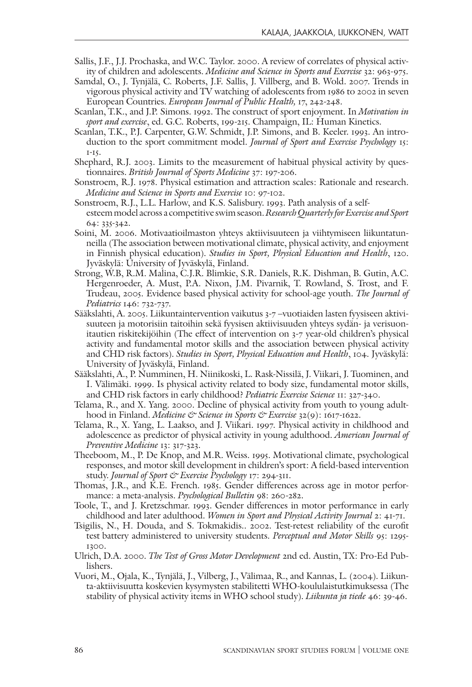- Sallis, J.F., J.J. Prochaska, and W.C. Taylor. 2000. A review of correlates of physical activity of children and adolescents. Medicine and Science in Sports and Exercise 32: 963-975.
- Samdal, O., J. Tynjälä, C. Roberts, J.F. Sallis, J. Villberg, and B. Wold. 2007. Trends in vigorous physical activity and TV watching of adolescents from 1986 to 2002 in seven European Countries. European Journal of Public Health, 17, 242-248.
- Scanlan, T.K., and J.P. Simons. 1992. The construct of sport enjoyment. In *Motivation in* sport and exercise, ed. G.C. Roberts, 199-215. Champaign, IL: Human Kinetics.
- Scanlan, T.K., P.J. Carpenter, G.W. Schmidt, J.P. Simons, and B. Keeler. 1993. An introduction to the sport commitment model. Journal of Sport and Exercise Psychology 15: 1-15.
- Shephard, R.J. 2003. Limits to the measurement of habitual physical activity by questionnaires. British Journal of Sports Medicine 37: 197-206.
- Sonstroem, R.J. 1978. Physical estimation and attraction scales: Rationale and research. Medicine and Science in Sports and Exercise 10: 97-102.
- Sonstroem, R.J., L.L. Harlow, and K.S. Salisbury. 1993. Path analysis of a selfesteem model across a competitive swim season. Research Quarterly for Exercise and Sport 64: 335-342.
- Soini, M. 2006. Motivaatioilmaston yhteys aktiivisuuteen ja viihtymiseen liikuntatunneilla (The association between motivational climate, physical activity, and enjoyment in Finnish physical education). Studies in Sport, Physical Education and Health, 120. Jyväskylä: University of Jyväskylä, Finland.
- Strong, W.B, R.M. Malina, C.J.R. Blimkie, S.R. Daniels, R.K. Dishman, B. Gutin, A.C. Hergenroeder, A. Must, P.A. Nixon, J.M. Pivarnik, T. Rowland, S. Trost, and F. Trudeau, 2005. Evidence based physical activity for school-age youth. The Journal of Pediatrics 146: 732-737.
- Sääkslahti, A. 2005. Liikuntaintervention vaikutus 3-7 –vuotiaiden lasten fyysiseen aktivisuuteen ja motorisiin taitoihin sekä fyysisen aktiivisuuden yhteys sydän- ja verisuonitautien riskitekijöihin (The effect of intervention on 3-7 year-old children's physical activity and fundamental motor skills and the association between physical activity and CHD risk factors). Studies in Sport, Physical Education and Health, 104. Jyväskylä: University of Jyväskylä, Finland.
- Sääkslahti, A., P. Numminen, H. Niinikoski, L. Rask-Nissilä, J. Viikari, J. Tuominen, and I. Välimäki. 1999. Is physical activity related to body size, fundamental motor skills, and CHD risk factors in early childhood? Pediatric Exercise Science 11: 327-340.
- Telama, R., and X. Yang. 2000. Decline of physical activity from youth to young adulthood in Finland. Medicine & Science in Sports & Exercise 32(9): 1617-1622.
- Telama, R., X. Yang, L. Laakso, and J. Viikari. 1997. Physical activity in childhood and adolescence as predictor of physical activity in young adulthood. American Journal of Preventive Medicine 13: 317-323.
- Theeboom, M., P. De Knop, and M.R. Weiss. 1995. Motivational climate, psychological responses, and motor skill development in children's sport: A field-based intervention study. Journal of Sport & Exercise Psychology 17: 294-311.
- Thomas, J.R., and K.E. French. 1985. Gender differences across age in motor performance: a meta-analysis. Psychological Bulletin 98: 260-282.
- Toole, T., and J. Kretzschmar. 1993. Gender differences in motor performance in early childhood and later adulthood. Women in Sport and Physical Activity Journal 2: 41-71.
- Tsigilis, N., H. Douda, and S. Tokmakidis.. 2002. Test-retest reliability of the eurofit test battery administered to university students. Perceptual and Motor Skills 95: 1295-1300.
- Ulrich, D.A. 2000. The Test of Gross Motor Development 2nd ed. Austin, TX: Pro-Ed Publishers.
- Vuori, M., Ojala, K., Tynjälä, J., Vilberg, J., Välimaa, R., and Kannas, L. (2004). Liikunta-aktiivisuutta koskevien kysymysten stabilitetti WHO-koululaistutkimuksessa (The stability of physical activity items in WHO school study). Liikunta ja tiede 46: 39-46.